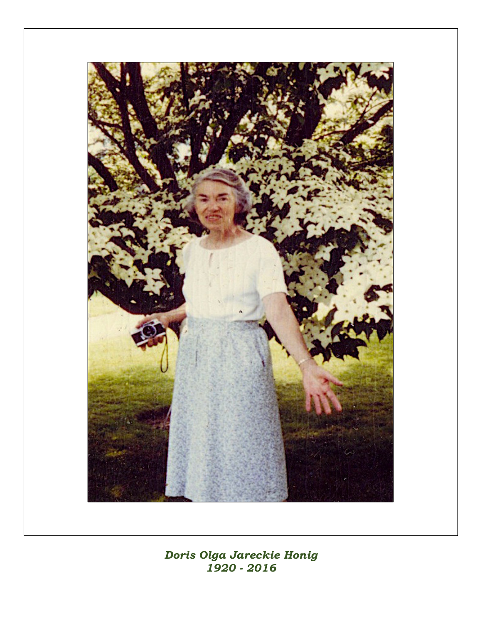

Doris Olga Jareckie Honig 1920 - 2016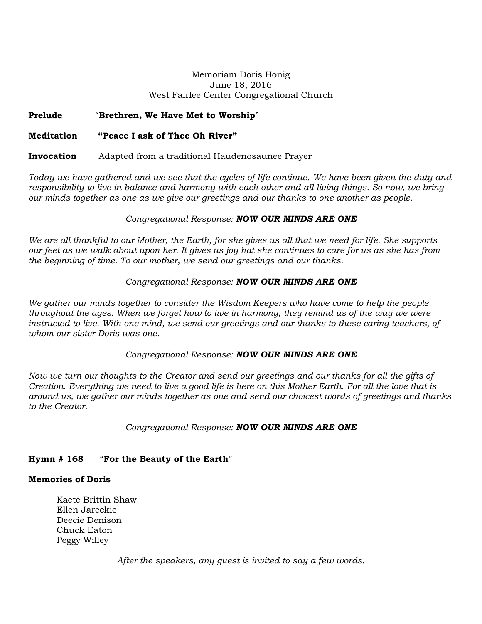### Memoriam Doris Honig June 18, 2016 West Fairlee Center Congregational Church

# Prelude "Brethren, We Have Met to Worship"

# Meditation "Peace I ask of Thee Oh River"

## Invocation Adapted from a traditional Haudenosaunee Prayer

Today we have gathered and we see that the cycles of life continue. We have been given the duty and responsibility to live in balance and harmony with each other and all living things. So now, we bring our minds together as one as we give our greetings and our thanks to one another as people.

## Congregational Response: **NOW OUR MINDS ARE ONE**

We are all thankful to our Mother, the Earth, for she gives us all that we need for life. She supports our feet as we walk about upon her. It gives us joy hat she continues to care for us as she has from the beginning of time. To our mother, we send our greetings and our thanks.

# Congregational Response: NOW OUR MINDS ARE ONE

We gather our minds together to consider the Wisdom Keepers who have come to help the people throughout the ages. When we forget how to live in harmony, they remind us of the way we were instructed to live. With one mind, we send our greetings and our thanks to these caring teachers, of whom our sister Doris was one.

#### Congregational Response: NOW OUR MINDS ARE ONE

Now we turn our thoughts to the Creator and send our greetings and our thanks for all the gifts of Creation. Everything we need to live a good life is here on this Mother Earth. For all the love that is around us, we gather our minds together as one and send our choicest words of greetings and thanks to the Creator.

#### Congregational Response: NOW OUR MINDS ARE ONE

# Hymn # 168 "For the Beauty of the Earth"

#### Memories of Doris

Kaete Brittin Shaw Ellen Jareckie Deecie Denison Chuck Eaton Peggy Willey

After the speakers, any guest is invited to say a few words.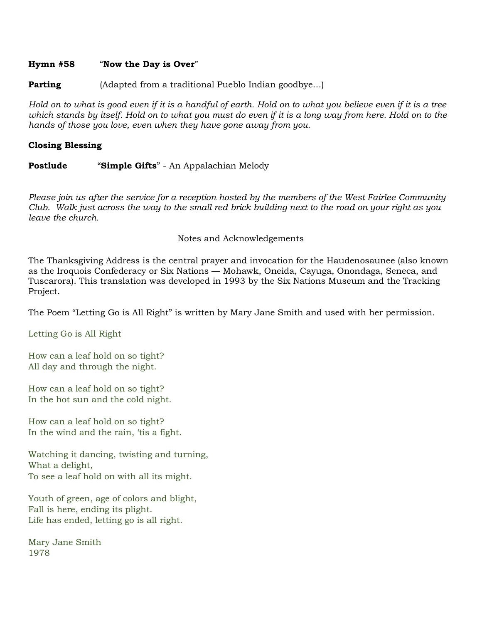## Hymn #58 "Now the Day is Over"

**Parting** (Adapted from a traditional Pueblo Indian goodbye...)

Hold on to what is good even if it is a handful of earth. Hold on to what you believe even if it is a tree which stands by itself. Hold on to what you must do even if it is a long way from here. Hold on to the hands of those you love, even when they have gone away from you.

# Closing Blessing

**Postlude "Simple Gifts"** - An Appalachian Melody

Please join us after the service for a reception hosted by the members of the West Fairlee Community Club. Walk just across the way to the small red brick building next to the road on your right as you leave the church.

# Notes and Acknowledgements

The Thanksgiving Address is the central prayer and invocation for the Haudenosaunee (also known as the Iroquois Confederacy or Six Nations — Mohawk, Oneida, Cayuga, Onondaga, Seneca, and Tuscarora). This translation was developed in 1993 by the Six Nations Museum and the Tracking Project.

The Poem "Letting Go is All Right" is written by Mary Jane Smith and used with her permission.

Letting Go is All Right

How can a leaf hold on so tight? All day and through the night.

How can a leaf hold on so tight? In the hot sun and the cold night.

How can a leaf hold on so tight? In the wind and the rain, 'tis a fight.

Watching it dancing, twisting and turning, What a delight, To see a leaf hold on with all its might.

Youth of green, age of colors and blight, Fall is here, ending its plight. Life has ended, letting go is all right.

Mary Jane Smith 1978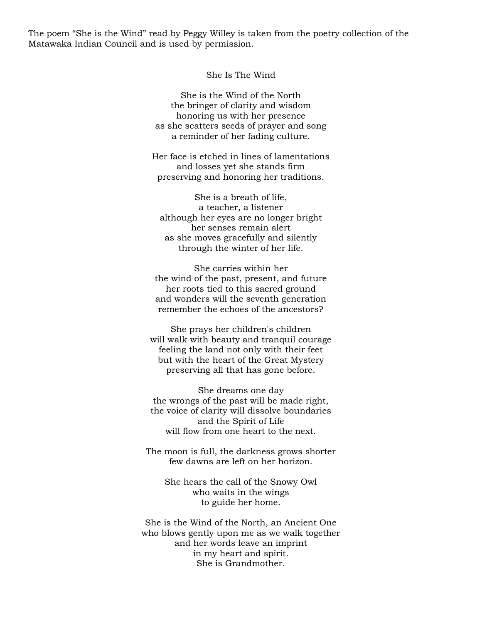The poem "She is the Wind" read by Peggy Willey is taken from the poetry collection of the Matawaka Indian Council and is used by permission.

She Is The Wind

She is the Wind of the North the bringer of clarity and wisdom honoring us with her presence as she scatters seeds of prayer and song a reminder of her fading culture.

Her face is etched in lines of lamentations and losses yet she stands firm preserving and honoring her traditions.

She is a breath of life, a teacher, a listener although her eyes are no longer bright her senses remain alert as she moves gracefully and silently through the winter of her life.

She carries within her the wind of the past, present, and future her roots tied to this sacred ground and wonders will the seventh generation remember the echoes of the ancestors?

She prays her children's children will walk with beauty and tranquil courage feeling the land not only with their feet but with the heart of the Great Mystery preserving all that has gone before.

She dreams one day the wrongs of the past will be made right, the voice of clarity will dissolve boundaries and the Spirit of Life will flow from one heart to the next.

The moon is full, the darkness grows shorter few dawns are left on her horizon.

She hears the call of the Snowy Owl who waits in the wings to guide her home.

She is the Wind of the North, an Ancient One who blows gently upon me as we walk together and her words leave an imprint in my heart and spirit. She is Grandmother.